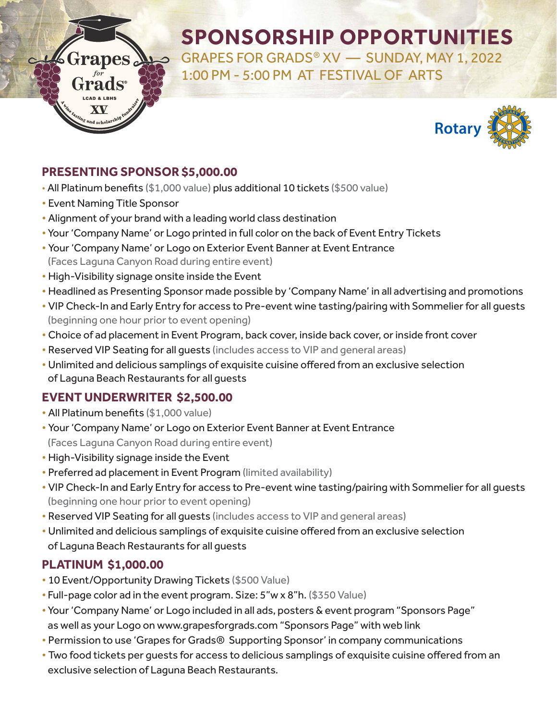# **SPONSORSHIP OPPORTUNITIES**

GRAPES FOR GRADS® XV — SUNDAY, MAY 1, 2022 1:00 PM - 5:00 PM AT FESTIVAL OF ARTS



# **PRESENTING SPONSOR \$5,000.00**

- All Platinum benefits (\$1,000 value) plus additional 10 tickets (\$500 value)
- **Event Naming Title Sponsor**

Grapes

Frads®

- Alignment of your brand with a leading world class destination
- Your 'Company Name' or Logo printed in full color on the back of Event Entry Tickets
- ï Your 'Company Name' or Logo on Exterior Event Banner at Event Entrance (Faces Laguna Canyon Road during entire event)
- High-Visibility signage onsite inside the Event
- Headlined as Presenting Sponsor made possible by 'Company Name' in all advertising and promotions
- VIP Check-In and Early Entry for access to Pre-event wine tasting/pairing with Sommelier for all guests (beginning one hour prior to event opening)
- Choice of ad placement in Event Program, back cover, inside back cover, or inside front cover
- Reserved VIP Seating for all guests (includes access to VIP and general areas)
- Unlimited and delicious samplings of exquisite cuisine offered from an exclusive selection of Laguna Beach Restaurants for all guests

### **EVENT UNDERWRITER \$2,500.00**

- All Platinum benefits (\$1,000 value)
- Your 'Company Name' or Logo on Exterior Event Banner at Event Entrance (Faces Laguna Canyon Road during entire event)
- **High-Visibility signage inside the Event**
- Preferred ad placement in Event Program (limited availability)
- VIP Check-In and Early Entry for access to Pre-event wine tasting/pairing with Sommelier for all guests (beginning one hour prior to event opening)
- Reserved VIP Seating for all guests (includes access to VIP and general areas)
- Unlimited and delicious samplings of exquisite cuisine offered from an exclusive selection of Laguna Beach Restaurants for all guests

# **PLATINUM \$1,000.00**

- 10 Event/Opportunity Drawing Tickets (\$500 Value)
- Full-page color ad in the event program. Size: 5"w x 8"h. (\$350 Value)
- Your 'Company Name' or Logo included in all ads, posters & event program "Sponsors Page" as well as your Logo on www.grapesforgrads.com "Sponsors Page" with web link
- Permission to use 'Grapes for Grads® Supporting Sponsor' in company communications
- Two food tickets per guests for access to delicious samplings of exquisite cuisine offered from an exclusive selection of Laguna Beach Restaurants.